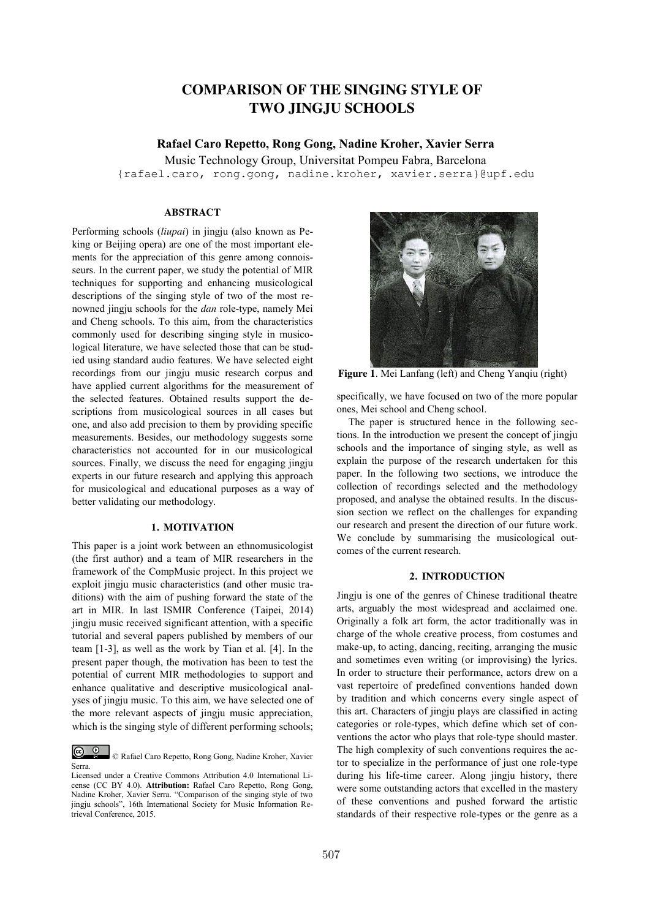# **COMPARISON OF THE SINGING STYLE OF TWO JINGJU SCHOOLS**

# **Rafael Caro Repetto, Rong Gong, Nadine Kroher, Xavier Serra**

Music Technology Group, Universitat Pompeu Fabra, Barcelona {rafael.caro, rong.gong, nadine.kroher, xavier.serra}@upf.edu

# **ABSTRACT**

Performing schools (*liupai*) in jingju (also known as Peking or Beijing opera) are one of the most important elements for the appreciation of this genre among connoisseurs. In the current paper, we study the potential of MIR techniques for supporting and enhancing musicological descriptions of the singing style of two of the most renowned jingju schools for the *dan* role-type, namely Mei and Cheng schools. To this aim, from the characteristics commonly used for describing singing style in musicological literature, we have selected those that can be studied using standard audio features. We have selected eight recordings from our jingju music research corpus and have applied current algorithms for the measurement of the selected features. Obtained results support the descriptions from musicological sources in all cases but one, and also add precision to them by providing specific measurements. Besides, our methodology suggests some characteristics not accounted for in our musicological sources. Finally, we discuss the need for engaging jingju experts in our future research and applying this approach for musicological and educational purposes as a way of better validating our methodology.

## **1. MOTIVATION**

This paper is a joint work between an ethnomusicologist (the first author) and a team of MIR researchers in the framework of the CompMusic project. In this project we exploit jingju music characteristics (and other music traditions) with the aim of pushing forward the state of the art in MIR. In last ISMIR Conference (Taipei, 2014) jingju music received significant attention, with a specific tutorial and several papers published by members of our team [1-3], as well as the work by Tian et al. [4]. In the present paper though, the motivation has been to test the potential of current MIR methodologies to support and enhance qualitative and descriptive musicological analyses of jingju music. To this aim, we have selected one of the more relevant aspects of jingju music appreciation, which is the singing style of different performing schools;



**Figure 1**. Mei Lanfang (left) and Cheng Yanqiu (right)

specifically, we have focused on two of the more popular ones, Mei school and Cheng school.

The paper is structured hence in the following sections. In the introduction we present the concept of jingju schools and the importance of singing style, as well as explain the purpose of the research undertaken for this paper. In the following two sections, we introduce the collection of recordings selected and the methodology proposed, and analyse the obtained results. In the discussion section we reflect on the challenges for expanding our research and present the direction of our future work. We conclude by summarising the musicological outcomes of the current research.

# **2. INTRODUCTION**

Jingju is one of the genres of Chinese traditional theatre arts, arguably the most widespread and acclaimed one. Originally a folk art form, the actor traditionally was in charge of the whole creative process, from costumes and make-up, to acting, dancing, reciting, arranging the music and sometimes even writing (or improvising) the lyrics. In order to structure their performance, actors drew on a vast repertoire of predefined conventions handed down by tradition and which concerns every single aspect of this art. Characters of jingju plays are classified in acting categories or role-types, which define which set of conventions the actor who plays that role-type should master. The high complexity of such conventions requires the actor to specialize in the performance of just one role-type during his life-time career. Along jingju history, there were some outstanding actors that excelled in the mastery of these conventions and pushed forward the artistic standards of their respective role-types or the genre as a

<sup>©</sup> Rafael Caro Repetto, Rong Gong, Nadine Kroher, Xavier Serra.

Licensed under a Creative Commons Attribution 4.0 International License (CC BY 4.0). **Attribution:** Rafael Caro Repetto, Rong Gong, Nadine Kroher, Xavier Serra. "Comparison of the singing style of two jingju schools", 16th International Society for Music Information Retrieval Conference, 2015.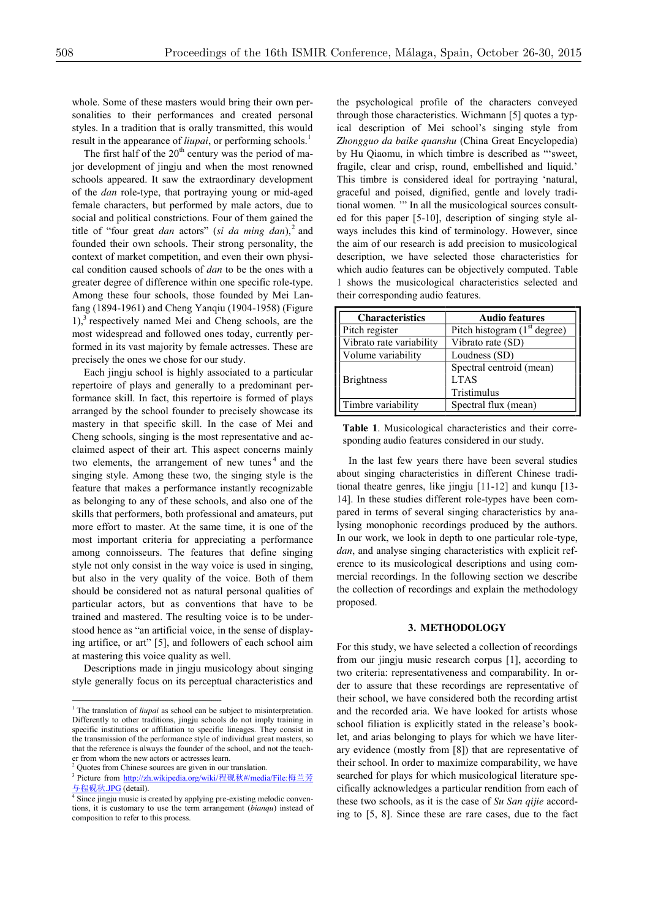whole. Some of these masters would bring their own personalities to their performances and created personal styles. In a tradition that is orally transmitted, this would result in the appearance of *liupai*, or performing schools.<sup>1</sup>

The first half of the  $20<sup>th</sup>$  century was the period of major development of jingju and when the most renowned schools appeared. It saw the extraordinary development of the *dan* role-type, that portraying young or mid-aged female characters, but performed by male actors, due to social and political constrictions. Four of them gained the title of "four great *dan* actors" (*si da ming dan*), <sup>2</sup> and founded their own schools. Their strong personality, the context of market competition, and even their own physical condition caused schools of *dan* to be the ones with a greater degree of difference within one specific role-type. Among these four schools, those founded by Mei Lanfang (1894-1961) and Cheng Yanqiu (1904-1958) (Figure 1), <sup>3</sup> respectively named Mei and Cheng schools, are the most widespread and followed ones today, currently performed in its vast majority by female actresses. These are precisely the ones we chose for our study.

Each jingju school is highly associated to a particular repertoire of plays and generally to a predominant performance skill. In fact, this repertoire is formed of plays arranged by the school founder to precisely showcase its mastery in that specific skill. In the case of Mei and Cheng schools, singing is the most representative and acclaimed aspect of their art. This aspect concerns mainly two elements, the arrangement of new tunes<sup> $4$ </sup> and the singing style. Among these two, the singing style is the feature that makes a performance instantly recognizable as belonging to any of these schools, and also one of the skills that performers, both professional and amateurs, put more effort to master. At the same time, it is one of the most important criteria for appreciating a performance among connoisseurs. The features that define singing style not only consist in the way voice is used in singing, but also in the very quality of the voice. Both of them should be considered not as natural personal qualities of particular actors, but as conventions that have to be trained and mastered. The resulting voice is to be understood hence as "an artificial voice, in the sense of displaying artifice, or art" [5], and followers of each school aim at mastering this voice quality as well.

Descriptions made in jingju musicology about singing style generally focus on its perceptual characteristics and

the psychological profile of the characters conveyed through those characteristics. Wichmann [5] quotes a typical description of Mei school's singing style from *Zhongguo da baike quanshu* (China Great Encyclopedia) by Hu Qiaomu, in which timbre is described as "'sweet, fragile, clear and crisp, round, embellished and liquid.' This timbre is considered ideal for portraying 'natural, graceful and poised, dignified, gentle and lovely traditional women. '" In all the musicological sources consulted for this paper [5-10], description of singing style always includes this kind of terminology. However, since the aim of our research is add precision to musicological description, we have selected those characteristics for which audio features can be objectively computed. Table 1 shows the musicological characteristics selected and their corresponding audio features.

| <b>Characteristics</b>   | <b>Audio features</b>                                  |
|--------------------------|--------------------------------------------------------|
| Pitch register           | Pitch histogram $(1st$ degree)                         |
| Vibrato rate variability | Vibrato rate (SD)                                      |
| Volume variability       | Loudness (SD)                                          |
| <b>Brightness</b>        | Spectral centroid (mean)<br><b>LTAS</b><br>Tristimulus |
| Timbre variability       | Spectral flux (mean)                                   |

**Table 1**. Musicological characteristics and their corresponding audio features considered in our study.

In the last few years there have been several studies about singing characteristics in different Chinese traditional theatre genres, like jingju [11-12] and kunqu [13- 14]. In these studies different role-types have been compared in terms of several singing characteristics by analysing monophonic recordings produced by the authors. In our work, we look in depth to one particular role-type, *dan*, and analyse singing characteristics with explicit reference to its musicological descriptions and using commercial recordings. In the following section we describe the collection of recordings and explain the methodology proposed.

# **3. METHODOLOGY**

For this study, we have selected a collection of recordings from our jingju music research corpus [1], according to two criteria: representativeness and comparability. In order to assure that these recordings are representative of their school, we have considered both the recording artist and the recorded aria. We have looked for artists whose school filiation is explicitly stated in the release's booklet, and arias belonging to plays for which we have literary evidence (mostly from [8]) that are representative of their school. In order to maximize comparability, we have searched for plays for which musicological literature specifically acknowledges a particular rendition from each of these two schools, as it is the case of *Su San qijie* according to [5, 8]. Since these are rare cases, due to the fact

<sup>&</sup>lt;sup>1</sup> The translation of *liupai* as school can be subject to misinterpretation. Differently to other traditions, jingju schools do not imply training in specific institutions or affiliation to specific lineages. They consist in the transmission of the performance style of individual great masters, so that the reference is always the founder of the school, and not the teacher from whom the new actors or actresses learn.

<sup>&</sup>lt;sup>2</sup> Quotes from Chinese sources are given in our translation.

<sup>&</sup>lt;sup>3</sup> Picture from http://zh.wikipedia.org/wiki/程砚秋#/media/File:梅兰芳 与程砚秋.JPG (detail).

<sup>&</sup>lt;sup>4</sup> Since jingju music is created by applying pre-existing melodic conventions, it is customary to use the term arrangement (*bianqu*) instead of composition to refer to this process.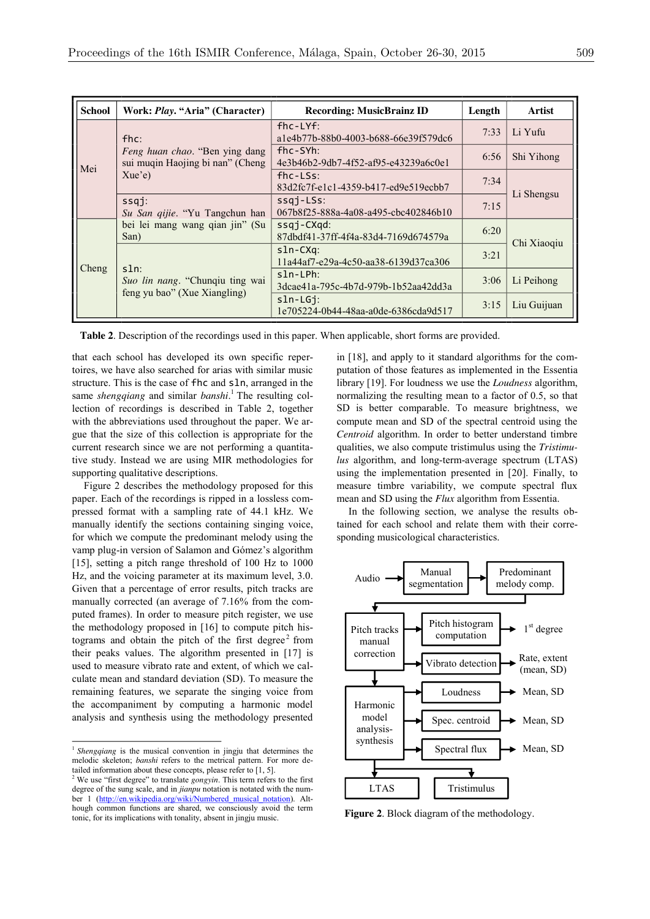| <b>School</b> | Work: Play. "Aria" (Character)                                             | <b>Recording: MusicBrainz ID</b>                          | Length | Artist      |  |
|---------------|----------------------------------------------------------------------------|-----------------------------------------------------------|--------|-------------|--|
| Mei           | $f$ hc:                                                                    | $f$ hc-LY $f$ :<br>a1e4b77b-88b0-4003-b688-66e39f579dc6   | 7:33   | Li Yufu     |  |
|               | Feng huan chao. "Ben ying dang<br>sui muqin Haojing bi nan" (Cheng         | $f$ hc-SYh:<br>4e3b46b2-9db7-4f52-af95-e43239a6c0e1       | 6:56   | Shi Yihong  |  |
|               | Xue'e                                                                      | $f$ hc-LSs:<br>83d2fc7f-e1c1-4359-b417-ed9e519ecbb7       | 7:34   |             |  |
|               | $ssq$ :<br>Su San qijie. "Yu Tangchun han                                  | $ssqj-LSs$ :<br>067b8f25-888a-4a08-a495-cbc402846b10      | 7:15   | Li Shengsu  |  |
| Cheng         | bei lei mang wang qian jin" (Su<br>San)                                    | $ssqj$ -C $Xqd$ :<br>87dbdf41-37ff-4f4a-83d4-7169d674579a | 6:20   |             |  |
|               | $sln$ :<br>Suo lin nang. "Chunqiu ting wai<br>feng yu bao" (Xue Xiangling) | sln-CXq:<br>11a44af7-e29a-4c50-aa38-6139d37ca306          | 3:21   | Chi Xiaogiu |  |
|               |                                                                            | $sln-LPh:$<br>3dcae41a-795c-4b7d-979b-1b52aa42dd3a        | 3:06   | Li Peihong  |  |
|               |                                                                            | $sln-LGj:$<br>1e705224-0b44-48aa-a0de-6386cda9d517        | 3:15   | Liu Guijuan |  |

**Table 2**. Description of the recordings used in this paper. When applicable, short forms are provided.

that each school has developed its own specific repertoires, we have also searched for arias with similar music structure. This is the case of fhc and sln, arranged in the same *shengqiang* and similar *banshi*. <sup>1</sup> The resulting collection of recordings is described in Table 2, together with the abbreviations used throughout the paper. We argue that the size of this collection is appropriate for the current research since we are not performing a quantitative study. Instead we are using MIR methodologies for supporting qualitative descriptions.

Figure 2 describes the methodology proposed for this paper. Each of the recordings is ripped in a lossless compressed format with a sampling rate of 44.1 kHz. We manually identify the sections containing singing voice, for which we compute the predominant melody using the vamp plug-in version of Salamon and Gómez's algorithm [15], setting a pitch range threshold of 100 Hz to 1000 Hz, and the voicing parameter at its maximum level, 3.0. Given that a percentage of error results, pitch tracks are manually corrected (an average of 7.16% from the computed frames). In order to measure pitch register, we use the methodology proposed in [16] to compute pitch histograms and obtain the pitch of the first degree<sup>2</sup> from their peaks values. The algorithm presented in [17] is used to measure vibrato rate and extent, of which we calculate mean and standard deviation (SD). To measure the remaining features, we separate the singing voice from the accompaniment by computing a harmonic model analysis and synthesis using the methodology presented

in [18], and apply to it standard algorithms for the computation of those features as implemented in the Essentia library [19]. For loudness we use the *Loudness* algorithm, normalizing the resulting mean to a factor of 0.5, so that SD is better comparable. To measure brightness, we compute mean and SD of the spectral centroid using the *Centroid* algorithm. In order to better understand timbre qualities, we also compute tristimulus using the *Tristimulus* algorithm, and long-term-average spectrum (LTAS) using the implementation presented in [20]. Finally, to measure timbre variability, we compute spectral flux mean and SD using the *Flux* algorithm from Essentia.

In the following section, we analyse the results obtained for each school and relate them with their corresponding musicological characteristics.



**Figure 2**. Block diagram of the methodology.

<sup>&</sup>lt;sup>1</sup> *Shengqiang* is the musical convention in jingju that determines the melodic skeleton; *banshi* refers to the metrical pattern. For more detailed information about these concepts, please refer to [1, 5].

<sup>2</sup> We use "first degree" to translate *gongyin*. This term refers to the first degree of the sung scale, and in *jianpu* notation is notated with the number 1 (http://en.wikipedia.org/wiki/Numbered musical notation). Although common functions are shared, we consciously avoid the term tonic, for its implications with tonality, absent in jingju music.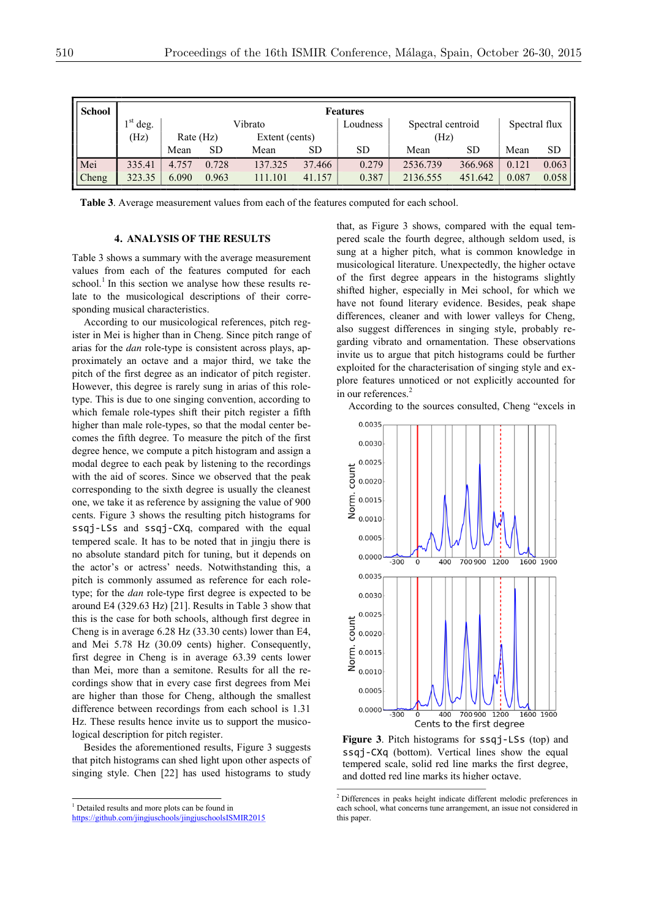| <b>School</b> | <b>Features</b> |           |       |                |          |                   |          |               |       |           |  |
|---------------|-----------------|-----------|-------|----------------|----------|-------------------|----------|---------------|-------|-----------|--|
|               | $1st$ deg.      | Vibrato   |       |                | Loudness | Spectral centroid |          | Spectral flux |       |           |  |
|               | (Hz)            | Rate (Hz) |       | Extent (cents) |          |                   | (Hz)     |               |       |           |  |
|               |                 | Mean      | SD    | Mean           | SD       | SD                | Mean     | <b>SD</b>     | Mean  | <b>SD</b> |  |
| Mei           | 335.41          | 4.757     | 0.728 | 137.325        | 37.466   | 0.279             | 2536.739 | 366.968       | 0.121 | 0.063     |  |
| Cheng         | 323.35          | 6.090     | 0.963 | 111.101        | 41.157   | 0.387             | 2136.555 | 451.642       | 0.087 | 0.058     |  |

**Table 3**. Average measurement values from each of the features computed for each school.

#### **4. ANALYSIS OF THE RESULTS**

Table 3 shows a summary with the average measurement values from each of the features computed for each school.<sup>1</sup> In this section we analyse how these results relate to the musicological descriptions of their corresponding musical characteristics.

According to our musicological references, pitch register in Mei is higher than in Cheng. Since pitch range of arias for the *dan* role-type is consistent across plays, approximately an octave and a major third, we take the pitch of the first degree as an indicator of pitch register. However, this degree is rarely sung in arias of this roletype. This is due to one singing convention, according to which female role-types shift their pitch register a fifth higher than male role-types, so that the modal center becomes the fifth degree. To measure the pitch of the first degree hence, we compute a pitch histogram and assign a modal degree to each peak by listening to the recordings with the aid of scores. Since we observed that the peak corresponding to the sixth degree is usually the cleanest one, we take it as reference by assigning the value of 900 cents. Figure 3 shows the resulting pitch histograms for ssqj-LSs and ssqj-CXq, compared with the equal tempered scale. It has to be noted that in jingju there is no absolute standard pitch for tuning, but it depends on the actor's or actress' needs. Notwithstanding this, a pitch is commonly assumed as reference for each roletype; for the *dan* role-type first degree is expected to be around E4 (329.63 Hz) [21]. Results in Table 3 show that this is the case for both schools, although first degree in Cheng is in average 6.28 Hz (33.30 cents) lower than E4, and Mei 5.78 Hz (30.09 cents) higher. Consequently, first degree in Cheng is in average 63.39 cents lower than Mei, more than a semitone. Results for all the recordings show that in every case first degrees from Mei are higher than those for Cheng, although the smallest difference between recordings from each school is 1.31 Hz. These results hence invite us to support the musicological description for pitch register.

Besides the aforementioned results, Figure 3 suggests that pitch histograms can shed light upon other aspects of singing style. Chen [22] has used histograms to study that, as Figure 3 shows, compared with the equal tempered scale the fourth degree, although seldom used, is sung at a higher pitch, what is common knowledge in musicological literature. Unexpectedly, the higher octave of the first degree appears in the histograms slightly shifted higher, especially in Mei school, for which we have not found literary evidence. Besides, peak shape differences, cleaner and with lower valleys for Cheng, also suggest differences in singing style, probably regarding vibrato and ornamentation. These observations invite us to argue that pitch histograms could be further exploited for the characterisation of singing style and explore features unnoticed or not explicitly accounted for in our references. 2

According to the sources consulted, Cheng "excels in



**Figure 3**. Pitch histograms for ssqj-LSs (top) and ssqj-CXq (bottom). Vertical lines show the equal tempered scale, solid red line marks the first degree, and dotted red line marks its higher octave.

<sup>&</sup>lt;sup>1</sup> Detailed results and more plots can be found in

https://github.com/jingjuschools/jingjuschoolsISMIR2015

 <sup>2</sup> Differences in peaks height indicate different melodic preferences in each school, what concerns tune arrangement, an issue not considered in this paper.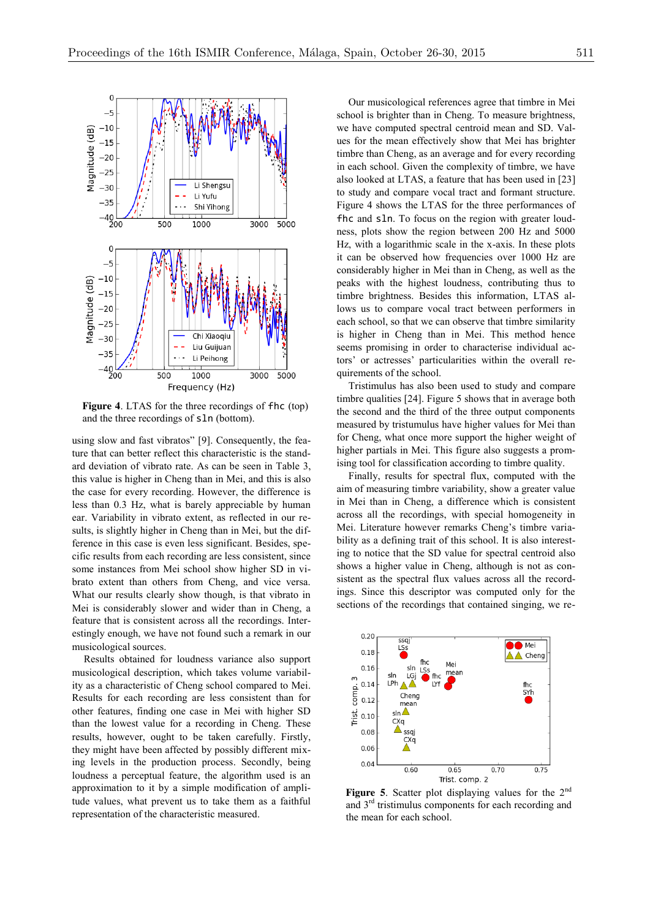

**Figure 4**. LTAS for the three recordings of fhc (top) and the three recordings of sln (bottom).

using slow and fast vibratos" [9]. Consequently, the feature that can better reflect this characteristic is the standard deviation of vibrato rate. As can be seen in Table 3, this value is higher in Cheng than in Mei, and this is also the case for every recording. However, the difference is less than 0.3 Hz, what is barely appreciable by human ear. Variability in vibrato extent, as reflected in our results, is slightly higher in Cheng than in Mei, but the difference in this case is even less significant. Besides, specific results from each recording are less consistent, since some instances from Mei school show higher SD in vibrato extent than others from Cheng, and vice versa. What our results clearly show though, is that vibrato in Mei is considerably slower and wider than in Cheng, a feature that is consistent across all the recordings. Interestingly enough, we have not found such a remark in our musicological sources.

Results obtained for loudness variance also support musicological description, which takes volume variability as a characteristic of Cheng school compared to Mei. Results for each recording are less consistent than for other features, finding one case in Mei with higher SD than the lowest value for a recording in Cheng. These results, however, ought to be taken carefully. Firstly, they might have been affected by possibly different mixing levels in the production process. Secondly, being loudness a perceptual feature, the algorithm used is an approximation to it by a simple modification of amplitude values, what prevent us to take them as a faithful representation of the characteristic measured.

Our musicological references agree that timbre in Mei school is brighter than in Cheng. To measure brightness, we have computed spectral centroid mean and SD. Values for the mean effectively show that Mei has brighter timbre than Cheng, as an average and for every recording in each school. Given the complexity of timbre, we have also looked at LTAS, a feature that has been used in [23] to study and compare vocal tract and formant structure. Figure 4 shows the LTAS for the three performances of fhc and sln. To focus on the region with greater loudness, plots show the region between 200 Hz and 5000 Hz, with a logarithmic scale in the x-axis. In these plots it can be observed how frequencies over 1000 Hz are considerably higher in Mei than in Cheng, as well as the peaks with the highest loudness, contributing thus to timbre brightness. Besides this information, LTAS allows us to compare vocal tract between performers in each school, so that we can observe that timbre similarity is higher in Cheng than in Mei. This method hence seems promising in order to characterise individual actors' or actresses' particularities within the overall requirements of the school.

Tristimulus has also been used to study and compare timbre qualities [24]. Figure 5 shows that in average both the second and the third of the three output components measured by tristumulus have higher values for Mei than for Cheng, what once more support the higher weight of higher partials in Mei. This figure also suggests a promising tool for classification according to timbre quality.

Finally, results for spectral flux, computed with the aim of measuring timbre variability, show a greater value in Mei than in Cheng, a difference which is consistent across all the recordings, with special homogeneity in Mei. Literature however remarks Cheng's timbre variability as a defining trait of this school. It is also interesting to notice that the SD value for spectral centroid also shows a higher value in Cheng, although is not as consistent as the spectral flux values across all the recordings. Since this descriptor was computed only for the sections of the recordings that contained singing, we re-



Figure 5. Scatter plot displaying values for the 2<sup>nd</sup> and  $3<sup>rd</sup>$  tristimulus components for each recording and the mean for each school.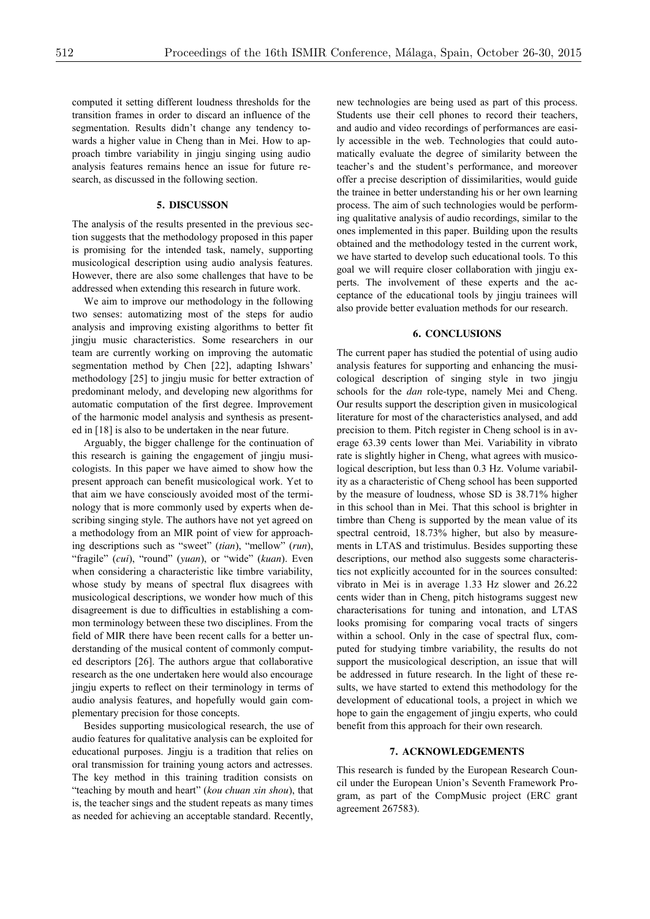computed it setting different loudness thresholds for the transition frames in order to discard an influence of the segmentation. Results didn't change any tendency towards a higher value in Cheng than in Mei. How to approach timbre variability in jingju singing using audio analysis features remains hence an issue for future research, as discussed in the following section.

#### **5. DISCUSSON**

The analysis of the results presented in the previous section suggests that the methodology proposed in this paper is promising for the intended task, namely, supporting musicological description using audio analysis features. However, there are also some challenges that have to be addressed when extending this research in future work.

We aim to improve our methodology in the following two senses: automatizing most of the steps for audio analysis and improving existing algorithms to better fit jingju music characteristics. Some researchers in our team are currently working on improving the automatic segmentation method by Chen [22], adapting Ishwars' methodology [25] to jingju music for better extraction of predominant melody, and developing new algorithms for automatic computation of the first degree. Improvement of the harmonic model analysis and synthesis as presented in [18] is also to be undertaken in the near future.

Arguably, the bigger challenge for the continuation of this research is gaining the engagement of jingju musicologists. In this paper we have aimed to show how the present approach can benefit musicological work. Yet to that aim we have consciously avoided most of the terminology that is more commonly used by experts when describing singing style. The authors have not yet agreed on a methodology from an MIR point of view for approaching descriptions such as "sweet" (*tian*), "mellow" (*run*), "fragile" (*cui*), "round" (*yuan*), or "wide" (*kuan*). Even when considering a characteristic like timbre variability, whose study by means of spectral flux disagrees with musicological descriptions, we wonder how much of this disagreement is due to difficulties in establishing a common terminology between these two disciplines. From the field of MIR there have been recent calls for a better understanding of the musical content of commonly computed descriptors [26]. The authors argue that collaborative research as the one undertaken here would also encourage jingju experts to reflect on their terminology in terms of audio analysis features, and hopefully would gain complementary precision for those concepts.

Besides supporting musicological research, the use of audio features for qualitative analysis can be exploited for educational purposes. Jingju is a tradition that relies on oral transmission for training young actors and actresses. The key method in this training tradition consists on "teaching by mouth and heart" (*kou chuan xin shou*), that is, the teacher sings and the student repeats as many times as needed for achieving an acceptable standard. Recently, new technologies are being used as part of this process. Students use their cell phones to record their teachers, and audio and video recordings of performances are easily accessible in the web. Technologies that could automatically evaluate the degree of similarity between the teacher's and the student's performance, and moreover offer a precise description of dissimilarities, would guide the trainee in better understanding his or her own learning process. The aim of such technologies would be performing qualitative analysis of audio recordings, similar to the ones implemented in this paper. Building upon the results obtained and the methodology tested in the current work, we have started to develop such educational tools. To this goal we will require closer collaboration with jingju experts. The involvement of these experts and the acceptance of the educational tools by jingju trainees will also provide better evaluation methods for our research.

## **6. CONCLUSIONS**

The current paper has studied the potential of using audio analysis features for supporting and enhancing the musicological description of singing style in two jingju schools for the *dan* role-type, namely Mei and Cheng. Our results support the description given in musicological literature for most of the characteristics analysed, and add precision to them. Pitch register in Cheng school is in average 63.39 cents lower than Mei. Variability in vibrato rate is slightly higher in Cheng, what agrees with musicological description, but less than 0.3 Hz. Volume variability as a characteristic of Cheng school has been supported by the measure of loudness, whose SD is 38.71% higher in this school than in Mei. That this school is brighter in timbre than Cheng is supported by the mean value of its spectral centroid, 18.73% higher, but also by measurements in LTAS and tristimulus. Besides supporting these descriptions, our method also suggests some characteristics not explicitly accounted for in the sources consulted: vibrato in Mei is in average 1.33 Hz slower and 26.22 cents wider than in Cheng, pitch histograms suggest new characterisations for tuning and intonation, and LTAS looks promising for comparing vocal tracts of singers within a school. Only in the case of spectral flux, computed for studying timbre variability, the results do not support the musicological description, an issue that will be addressed in future research. In the light of these results, we have started to extend this methodology for the development of educational tools, a project in which we hope to gain the engagement of jingju experts, who could benefit from this approach for their own research.

#### **7. ACKNOWLEDGEMENTS**

This research is funded by the European Research Council under the European Union's Seventh Framework Program, as part of the CompMusic project (ERC grant agreement 267583).